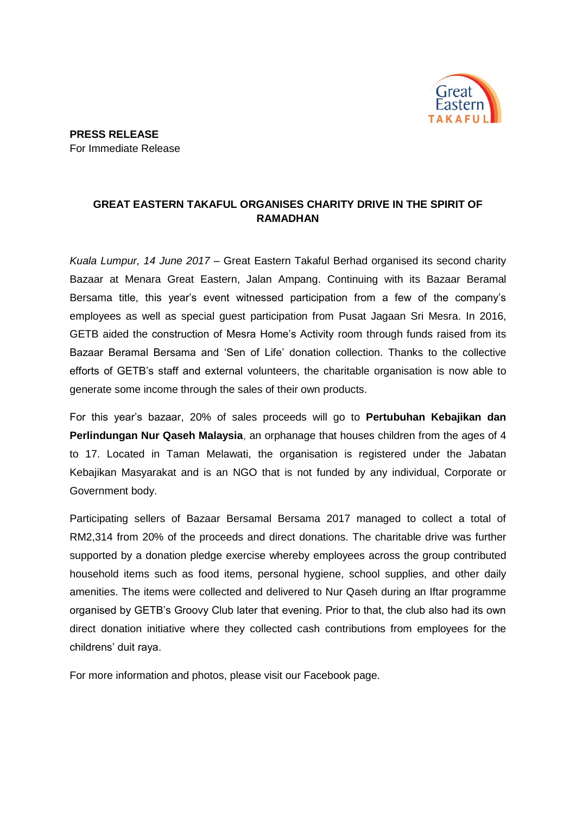

## **GREAT EASTERN TAKAFUL ORGANISES CHARITY DRIVE IN THE SPIRIT OF RAMADHAN**

*Kuala Lumpur, 14 June 2017* – Great Eastern Takaful Berhad organised its second charity Bazaar at Menara Great Eastern, Jalan Ampang. Continuing with its Bazaar Beramal Bersama title, this year's event witnessed participation from a few of the company's employees as well as special guest participation from Pusat Jagaan Sri Mesra. In 2016, GETB aided the construction of Mesra Home's Activity room through funds raised from its Bazaar Beramal Bersama and 'Sen of Life' donation collection. Thanks to the collective efforts of GETB's staff and external volunteers, the charitable organisation is now able to generate some income through the sales of their own products.

For this year's bazaar, 20% of sales proceeds will go to **Pertubuhan Kebajikan dan Perlindungan Nur Qaseh Malaysia**, an orphanage that houses children from the ages of 4 to 17. Located in Taman Melawati, the organisation is registered under the Jabatan Kebajikan Masyarakat and is an NGO that is not funded by any individual, Corporate or Government body.

Participating sellers of Bazaar Bersamal Bersama 2017 managed to collect a total of RM2,314 from 20% of the proceeds and direct donations. The charitable drive was further supported by a donation pledge exercise whereby employees across the group contributed household items such as food items, personal hygiene, school supplies, and other daily amenities. The items were collected and delivered to Nur Qaseh during an Iftar programme organised by GETB's Groovy Club later that evening. Prior to that, the club also had its own direct donation initiative where they collected cash contributions from employees for the childrens' duit raya.

For more information and photos, please visit our Facebook page.